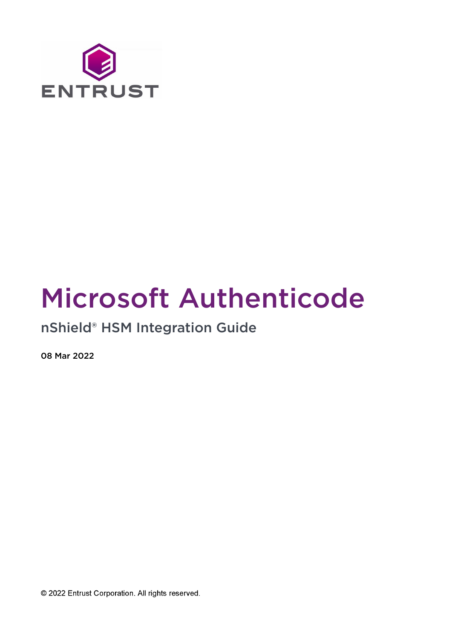

# Microsoft Authenticode

## nShield® HSM Integration Guide

08 Mar 2022

© 2022 Entrust Corporation. All rights reserved.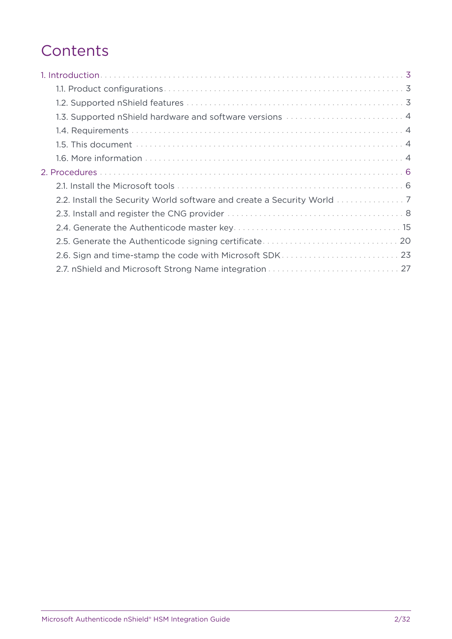## **Contents**

| 1.3. Supported nShield hardware and software versions  4 |
|----------------------------------------------------------|
|                                                          |
|                                                          |
|                                                          |
|                                                          |
|                                                          |
|                                                          |
|                                                          |
|                                                          |
|                                                          |
| 2.6. Sign and time-stamp the code with Microsoft SDK 23  |
|                                                          |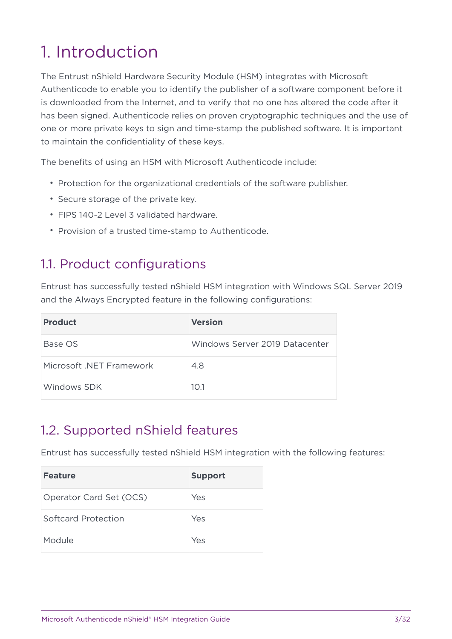# <span id="page-2-0"></span>1. Introduction

The Entrust nShield Hardware Security Module (HSM) integrates with Microsoft Authenticode to enable you to identify the publisher of a software component before it is downloaded from the Internet, and to verify that no one has altered the code after it has been signed. Authenticode relies on proven cryptographic techniques and the use of one or more private keys to sign and time-stamp the published software. It is important to maintain the confidentiality of these keys.

The benefits of using an HSM with Microsoft Authenticode include:

- Protection for the organizational credentials of the software publisher.
- Secure storage of the private key.
- FIPS 140-2 Level 3 validated hardware.
- Provision of a trusted time-stamp to Authenticode.

#### <span id="page-2-1"></span>1.1. Product configurations

Entrust has successfully tested nShield HSM integration with Windows SQL Server 2019 and the Always Encrypted feature in the following configurations:

| <b>Product</b>           | <b>Version</b>                 |
|--------------------------|--------------------------------|
| Base OS                  | Windows Server 2019 Datacenter |
| Microsoft .NET Framework | 4.8                            |
| Windows SDK              | 10.1                           |

#### <span id="page-2-2"></span>1.2. Supported nShield features

Entrust has successfully tested nShield HSM integration with the following features:

| <b>Feature</b>          | <b>Support</b> |
|-------------------------|----------------|
| Operator Card Set (OCS) | Yes            |
| Softcard Protection     | Yes            |
| Module                  | Yes            |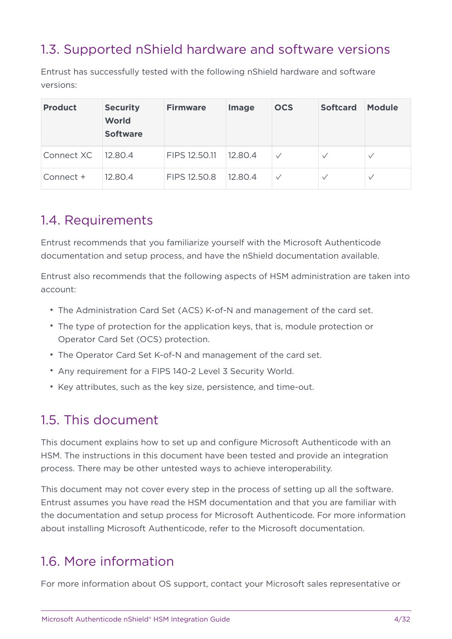## <span id="page-3-0"></span>1.3. Supported nShield hardware and software versions

Entrust has successfully tested with the following nShield hardware and software versions:

| <b>Product</b> | <b>Security</b><br><b>World</b><br><b>Software</b> | <b>Firmware</b> | <b>Image</b> | <b>OCS</b> | <b>Softcard</b> | <b>Module</b> |
|----------------|----------------------------------------------------|-----------------|--------------|------------|-----------------|---------------|
| Connect XC     | 12.80.4                                            | FIPS 12.50.11   | 12.80.4      |            | $\checkmark$    | $\vee$        |
| Connect +      | 12.80.4                                            | FIPS 12.50.8    | 12.80.4      |            | $\checkmark$    | $\vee$        |

#### <span id="page-3-1"></span>1.4. Requirements

Entrust recommends that you familiarize yourself with the Microsoft Authenticode documentation and setup process, and have the nShield documentation available.

Entrust also recommends that the following aspects of HSM administration are taken into account:

- The Administration Card Set (ACS) K-of-N and management of the card set.
- The type of protection for the application keys, that is, module protection or Operator Card Set (OCS) protection.
- The Operator Card Set K-of-N and management of the card set.
- Any requirement for a FIPS 140-2 Level 3 Security World.
- Key attributes, such as the key size, persistence, and time-out.

#### <span id="page-3-2"></span>1.5. This document

This document explains how to set up and configure Microsoft Authenticode with an HSM. The instructions in this document have been tested and provide an integration process. There may be other untested ways to achieve interoperability.

This document may not cover every step in the process of setting up all the software. Entrust assumes you have read the HSM documentation and that you are familiar with the documentation and setup process for Microsoft Authenticode. For more information about installing Microsoft Authenticode, refer to the Microsoft documentation.

#### <span id="page-3-3"></span>1.6. More information

For more information about OS support, contact your Microsoft sales representative or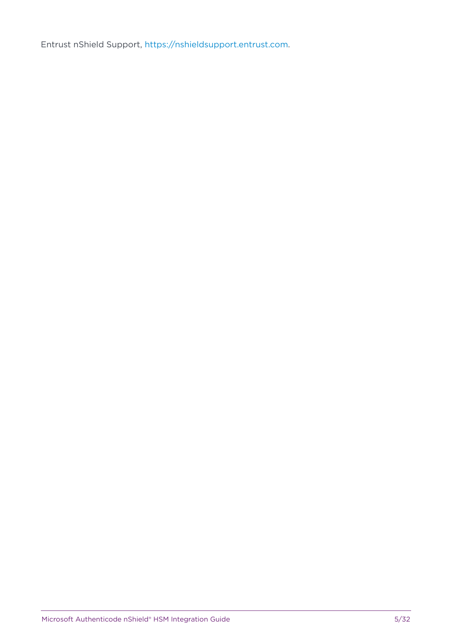Entrust nShield Support, [https://nshieldsupport.entrust.com.](https://nshieldsupport.entrust.com)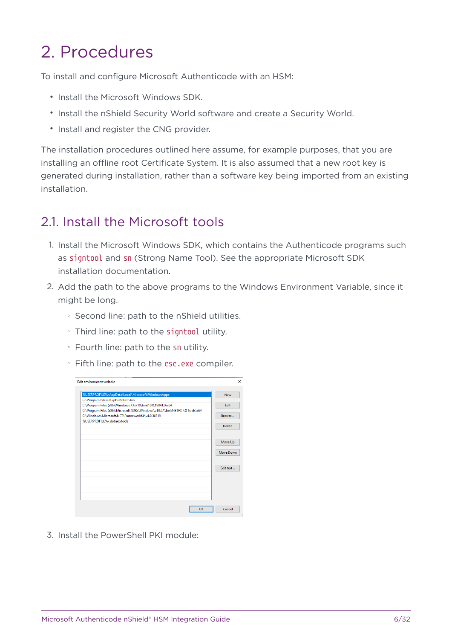# <span id="page-5-0"></span>2. Procedures

To install and configure Microsoft Authenticode with an HSM:

- Install the Microsoft Windows SDK.
- Install the nShield Security World software and create a Security World.
- Install and register the CNG provider.

The installation procedures outlined here assume, for example purposes, that you are installing an offline root Certificate System. It is also assumed that a new root key is generated during installation, rather than a software key being imported from an existing installation.

#### <span id="page-5-1"></span>21. Install the Microsoft tools

- 1. Install the Microsoft Windows SDK, which contains the Authenticode programs such as signtool and sn (Strong Name Tool). See the appropriate Microsoft SDK installation documentation.
- 2. Add the path to the above programs to the Windows Environment Variable, since it might be long.
	- Second line: path to the nShield utilities.
	- Third line: path to the signtool utility.
	- Fourth line: path to the sn utility.
	- Fifth line: path to the csc.exe compiler.

| Edit environment variable                                                    |               |
|------------------------------------------------------------------------------|---------------|
| %USERPROFILE%\AppData\Local\Microsoft\WindowsApps                            | <b>New</b>    |
| C:\Program Files\nCipher\nfast\bin                                           |               |
| C:\Program Files (x86)\Windows Kits\10\bin\10.0.19041.0\x64                  | Edit          |
| C:\Program Files (x86)\Microsoft SDKs\Windows\v10.0A\bin\NETFX 4.8 Tools\x64 |               |
| C:\Windows\Microsoft.NET\Framework64\v4.0.30319                              | Browse        |
| %USERPROFILE%\.dotnet\tools                                                  |               |
|                                                                              | <b>Delete</b> |
|                                                                              | Move Up       |
|                                                                              | Move Down     |
|                                                                              | Edit text     |
|                                                                              |               |
|                                                                              |               |
| OK                                                                           | Cancel        |

3. Install the PowerShell PKI module: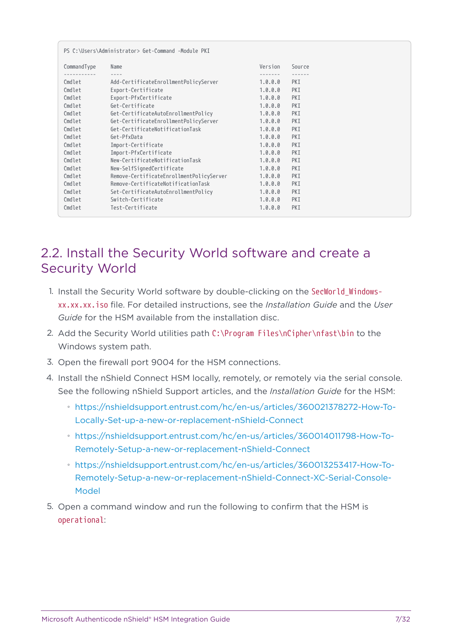|             | PS C:\Users\Administrator> Get-Command -Module PKI |         |        |
|-------------|----------------------------------------------------|---------|--------|
| CommandType | Name                                               | Version | Source |
|             | $- - - -$                                          |         |        |
| Cmdlet      | Add-CertificateEnrollmentPolicyServer              | 1.0.0.0 | PKI    |
| Cmdlet      | Export-Certificate                                 | 1.0.0.0 | PKI    |
| Cmdlet      | Export-PfxCertificate                              | 1.0.0.0 | PKI    |
| Cmdlet      | Get-Certificate                                    | 1.0.0.0 | PKI    |
| Cmdlet      | Get-CertificateAutoEnrollmentPolicy                | 1.0.0.0 | PKI    |
| Cmdlet      | Get-CertificateEnrollmentPolicyServer              | 1.0.0.0 | PKI    |
| Cmdlet      | Get-CertificateNotificationTask                    | 1.0.0.0 | PKI    |
| Cmdlet      | Get-PfxData                                        | 1.0.0.0 | PKI    |
| Cmdlet      | Import-Certificate                                 | 1.0.0.0 | PKI    |
| Cmdlet      | Import-PfxCertificate                              | 1.0.0.0 | PKI    |
| Cmdlet      | New-CertificateNotificationTask                    | 1.0.0.0 | PKI    |
| Cmdlet      | New-SelfSignedCertificate                          | 1.0.0.0 | PKI    |
| Cmdlet      | Remove-CertificateEnrollmentPolicyServer           | 1.0.0.0 | PKI    |
| Cmdlet      | Remove-CertificateNotificationTask                 | 1.0.0.0 | PKI    |
| Cmdlet      | Set-CertificateAutoEnrollmentPolicy                | 1.0.0.0 | PKI    |
| Cmdlet      | Switch-Certificate                                 | 1.0.0.0 | PKI    |
| Cmdlet      | Test-Certificate                                   | 1.0.0.0 | PKI    |

## <span id="page-6-0"></span>2.2. Install the Security World software and create a Security World

- 1. Install the Security World software by double-clicking on the SecWorld\_Windowsxx.xx.xx.iso file. For detailed instructions, see the *Installation Guide* and the *User Guide* for the HSM available from the installation disc.
- 2. Add the Security World utilities path C:\Program Files\nCipher\nfast\bin to the Windows system path.
- 3. Open the firewall port 9004 for the HSM connections.
- 4. Install the nShield Connect HSM locally, remotely, or remotely via the serial console. See the following nShield Support articles, and the *Installation Guide* for the HSM:
	- [https://nshieldsupport.entrust.com/hc/en-us/articles/360021378272-How-To-](https://nshieldsupport.entrust.com/hc/en-us/articles/360021378272-How-To-Locally-Set-up-a-new-or-replacement-nShield-Connect)[Locally-Set-up-a-new-or-replacement-nShield-Connect](https://nshieldsupport.entrust.com/hc/en-us/articles/360021378272-How-To-Locally-Set-up-a-new-or-replacement-nShield-Connect)
	- [https://nshieldsupport.entrust.com/hc/en-us/articles/360014011798-How-To-](https://nshieldsupport.entrust.com/hc/en-us/articles/360014011798-How-To-Remotely-Setup-a-new-or-replacement-nShield-Connect)[Remotely-Setup-a-new-or-replacement-nShield-Connect](https://nshieldsupport.entrust.com/hc/en-us/articles/360014011798-How-To-Remotely-Setup-a-new-or-replacement-nShield-Connect)
	- [https://nshieldsupport.entrust.com/hc/en-us/articles/360013253417-How-To-](https://nshieldsupport.entrust.com/hc/en-us/articles/360013253417-How-To-Remotely-Setup-a-new-or-replacement-nShield-Connect-XC-Serial-Console-Model)[Remotely-Setup-a-new-or-replacement-nShield-Connect-XC-Serial-Console-](https://nshieldsupport.entrust.com/hc/en-us/articles/360013253417-How-To-Remotely-Setup-a-new-or-replacement-nShield-Connect-XC-Serial-Console-Model)[Model](https://nshieldsupport.entrust.com/hc/en-us/articles/360013253417-How-To-Remotely-Setup-a-new-or-replacement-nShield-Connect-XC-Serial-Console-Model)
- 5. Open a command window and run the following to confirm that the HSM is operational: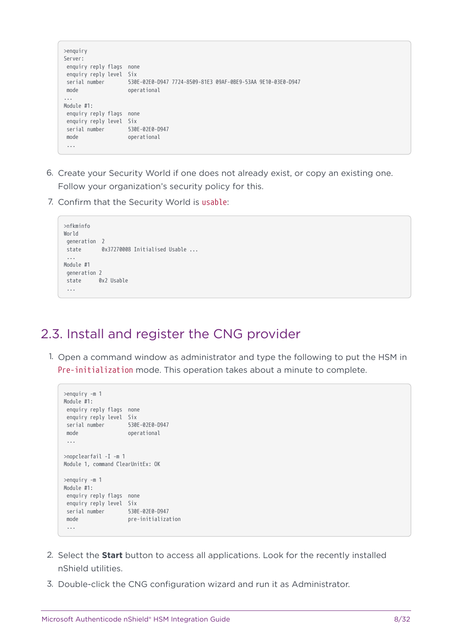```
>enquiry
Server:
 enquiry reply flags none
 enquiry reply level Six
 serial number 530E-02E0-D947 7724-8509-81E3 09AF-0BE9-53AA 9E10-03E0-D947
 mode operational
...
Module #1:
 enquiry reply flags none
 enquiry reply level Six
 serial number 530E-02E0-D947
 mode operational
 ...
```
- 6. Create your Security World if one does not already exist, or copy an existing one. Follow your organization's security policy for this.
- 7. Confirm that the Security World is usable:

```
>nfkminfo
World
 generation 2
 state 0x37270008 Initialised Usable ...
  ...
Module #1
 generation 2
 state 0x2 Usable
  ...
```
#### <span id="page-7-0"></span>2.3. Install and register the CNG provider

1. Open a command window as administrator and type the following to put the HSM in Pre-initialization mode. This operation takes about a minute to complete.

```
>enquiry -m 1
Module #1:
 enquiry reply flags none
 enquiry reply level Six
 serial number 530E-02E0-D947
 mode operational
 ...
>nopclearfail -I -m 1
Module 1, command ClearUnitEx: OK
>enquiry -m 1
Module #1:
 enquiry reply flags none
 enquiry reply level Six
 serial number 530E-02E0-D947
 mode pre-initialization
  ...
```
- 2. Select the **Start** button to access all applications. Look for the recently installed nShield utilities.
- 3. Double-click the CNG configuration wizard and run it as Administrator.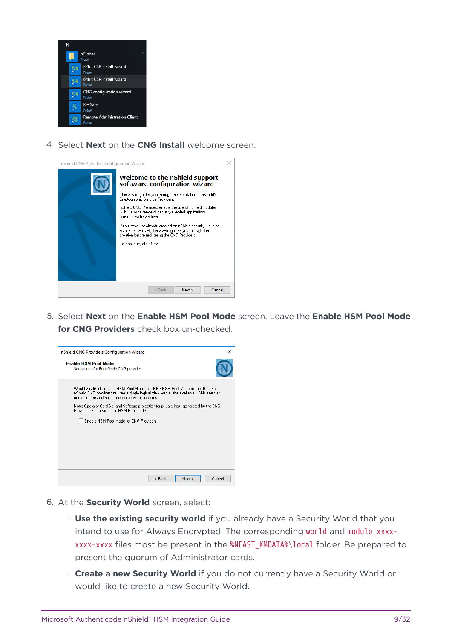

4. Select **Next** on the **CNG Install** welcome screen.

| nShield CNG Providers Configuration Wizard |                                                                                                                                                                                                                                                                                                                                                                                                                                                                                                                            |  |
|--------------------------------------------|----------------------------------------------------------------------------------------------------------------------------------------------------------------------------------------------------------------------------------------------------------------------------------------------------------------------------------------------------------------------------------------------------------------------------------------------------------------------------------------------------------------------------|--|
|                                            | Welcome to the nShield support<br>software configuration wizard<br>This wizard guides you through the installation of nShield's<br>Cryptographic Service Providers.<br>nShield CNG Providers enable the use of nShield modules<br>with the wide range of security-enabled applications<br>provided with Windows.<br>If you have not already created an nShield security world or<br>a suitable card set, the wizard quides you through their<br>creation before registering the CNG Providers.<br>To continue, click Next, |  |
|                                            | $<$ Back<br>Cancel<br>Next                                                                                                                                                                                                                                                                                                                                                                                                                                                                                                 |  |

5. Select **Next** on the **Enable HSM Pool Mode** screen. Leave the **Enable HSM Pool Mode for CNG Providers** check box un-checked.



- 6. At the **Security World** screen, select:
	- **Use the existing security world** if you already have a Security World that you intend to use for Always Encrypted. The corresponding world and module xxxxxxxx-xxxx files most be present in the %NFAST\_KMDATA%\local folder. Be prepared to present the quorum of Administrator cards.
	- **Create a new Security World** if you do not currently have a Security World or would like to create a new Security World.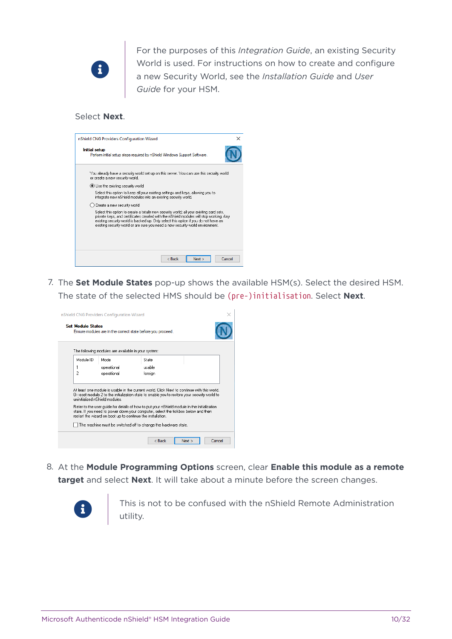

For the purposes of this *Integration Guide*, an existing Security World is used. For instructions on how to create and configure a new Security World, see the *Installation Guide* and *User Guide* for your HSM.

#### Select **Next**.



7. The **Set Module States** pop-up shows the available HSM(s). Select the desired HSM. The state of the selected HMS should be (pre-)initialisation. Select **Next**.

|                                                                                                                                                  | nShield CNG Providers Configuration Wizard                                                                                                                                                                                                                                                                                    |         |                |  |  |
|--------------------------------------------------------------------------------------------------------------------------------------------------|-------------------------------------------------------------------------------------------------------------------------------------------------------------------------------------------------------------------------------------------------------------------------------------------------------------------------------|---------|----------------|--|--|
|                                                                                                                                                  | <b>Set Module States</b><br>Ensure modules are in the correct state before you proceed.                                                                                                                                                                                                                                       |         |                |  |  |
|                                                                                                                                                  | The following modules are available in your system:                                                                                                                                                                                                                                                                           |         |                |  |  |
| Module ID                                                                                                                                        | Mode                                                                                                                                                                                                                                                                                                                          | State   |                |  |  |
| 1                                                                                                                                                | operational                                                                                                                                                                                                                                                                                                                   | usable  |                |  |  |
| $\overline{c}$                                                                                                                                   | operational                                                                                                                                                                                                                                                                                                                   | foreign |                |  |  |
|                                                                                                                                                  | At least one module is usable in the current world. Click Next to continue with this world.<br>Or reset module 2 to the initialization state to enable you to restore your security world to<br>uninitialized nShield modules.<br>Refer to the user quide for details of how to put your nShield module in the initialization |         |                |  |  |
| state. If you need to power down your computer, select the tickbox below and then<br>restart the wizard on boot up to continue the installation. |                                                                                                                                                                                                                                                                                                                               |         |                |  |  |
| The machine must be switched off to change the hardware state.                                                                                   |                                                                                                                                                                                                                                                                                                                               |         |                |  |  |
|                                                                                                                                                  |                                                                                                                                                                                                                                                                                                                               | < Back  | Cancel<br>Next |  |  |

8. At the **Module Programming Options** screen, clear **Enable this module as a remote target** and select **Next**. It will take about a minute before the screen changes.



This is not to be confused with the nShield Remote Administration utility.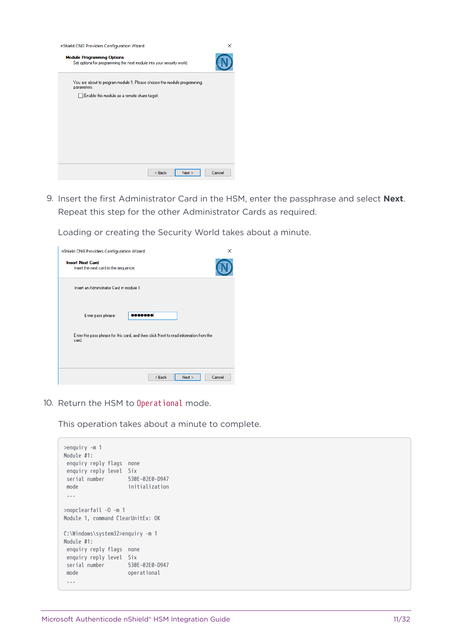| nShield CNG Providers Configuration Wizard                                                                 | ×      |
|------------------------------------------------------------------------------------------------------------|--------|
| <b>Module Programming Options</b><br>Set options for programming the next module into your security world. |        |
| You are about to program module 1. Please choose the module programming<br>parameters.                     |        |
| Enable this module as a remote share target.                                                               |        |
|                                                                                                            |        |
|                                                                                                            |        |
|                                                                                                            |        |
|                                                                                                            |        |
|                                                                                                            |        |
|                                                                                                            |        |
| $<$ Back<br>Next                                                                                           | Cancel |

9. Insert the first Administrator Card in the HSM, enter the passphrase and select **Next**. Repeat this step for the other Administrator Cards as required.

Loading or creating the Security World takes about a minute.

| nShield CNG Providers Configuration Wizard                                                     | ×      |
|------------------------------------------------------------------------------------------------|--------|
| <b>Insert Next Card</b><br>Insert the next card in the sequence.                               |        |
| Insert an Administrator Card in module 1.                                                      |        |
| 0000000<br>Enter pass phrase:                                                                  |        |
| Enter the pass phrase for this card, and then click Next to read information from the<br>card. |        |
| $<$ Back<br>Next                                                                               | Cancel |

10. Return the HSM to Operational mode.

This operation takes about a minute to complete.

| $\geq$ enquiry -m 1<br>Module #1:<br>enquiry reply flags<br>enquiry reply level Six<br>serial number<br>mode | none<br>530E-02E0-D947<br>initialization |  |  |  |
|--------------------------------------------------------------------------------------------------------------|------------------------------------------|--|--|--|
| >nopclearfail -0 -m 1<br>Module 1, command ClearUnitEx: OK                                                   |                                          |  |  |  |
| C:\Windows\system32>enquiry -m 1<br>:Module #1                                                               |                                          |  |  |  |
| enquiry reply flags                                                                                          | none                                     |  |  |  |
| enquiry reply level Six<br>serial number                                                                     | 530E-02E0-D947                           |  |  |  |
| mode                                                                                                         | operational                              |  |  |  |
|                                                                                                              |                                          |  |  |  |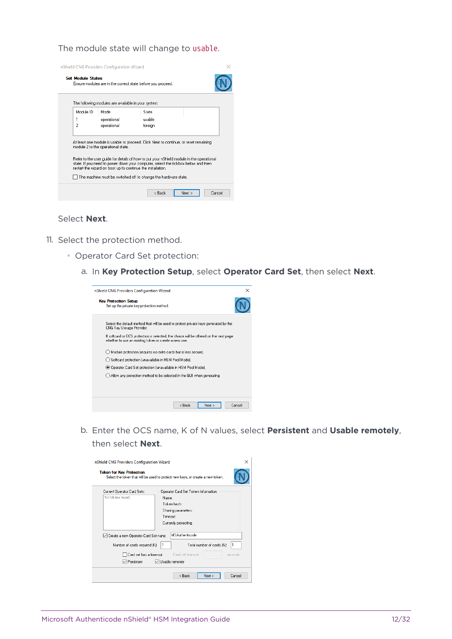The module state will change to usable.

|           | nShield CNG Providers Configuration Wizard                                                                                                                                                                                                                                                                                                                                                                                                   |         |                |  |  |
|-----------|----------------------------------------------------------------------------------------------------------------------------------------------------------------------------------------------------------------------------------------------------------------------------------------------------------------------------------------------------------------------------------------------------------------------------------------------|---------|----------------|--|--|
|           | <b>Set Module States</b><br>Ensure modules are in the correct state before you proceed.                                                                                                                                                                                                                                                                                                                                                      |         |                |  |  |
|           | The following modules are available in your system:                                                                                                                                                                                                                                                                                                                                                                                          |         |                |  |  |
| Module ID | Mode                                                                                                                                                                                                                                                                                                                                                                                                                                         | State   |                |  |  |
| 1         | operational                                                                                                                                                                                                                                                                                                                                                                                                                                  | usable  |                |  |  |
| 2         | operational                                                                                                                                                                                                                                                                                                                                                                                                                                  | foreign |                |  |  |
|           | At least one module is usable to proceed. Click Next to continue, or reset remaining<br>module 2 to the operational state.<br>Refer to the user quide for details of how to put your nShield module in the operational<br>state. If you need to power down your computer, select the tickbox below and then<br>restart the wizard on boot up to continue the installation.<br>The machine must be switched off to change the hardware state. |         |                |  |  |
|           |                                                                                                                                                                                                                                                                                                                                                                                                                                              | < Back  | Cancel<br>Next |  |  |

#### Select **Next**.

- 11. Select the protection method.
	- Operator Card Set protection:
		- a. In **Key Protection Setup**, select **Operator Card Set**, then select **Next**.

| nShield CNG Providers Configuration Wizard                                                                                                      | $\times$ |  |  |  |
|-------------------------------------------------------------------------------------------------------------------------------------------------|----------|--|--|--|
| <b>Key Protection Setup</b><br>Set up the private key-protection method.                                                                        |          |  |  |  |
| Select the default method that will be used to protect private keys generated by the<br>CNG Key Storage Provider.                               |          |  |  |  |
| If softcard or OCS protection is selected, the choice will be offered on the next page<br>whether to use an existing token or create a new one. |          |  |  |  |
| Module protection (requires no extra cards but is less secure).                                                                                 |          |  |  |  |
| Softcard protection (unavailable in HSM Pool Mode).                                                                                             |          |  |  |  |
| ◉ Operator Card Set protection (unavailable in HSM Pool Mode).                                                                                  |          |  |  |  |
| Allow any protection method to be selected in the GUI when generating.                                                                          |          |  |  |  |
|                                                                                                                                                 |          |  |  |  |
|                                                                                                                                                 |          |  |  |  |
| < Back<br>Next                                                                                                                                  | Cancel   |  |  |  |

b. Enter the OCS name, K of N values, select **Persistent** and **Usable remotely**, then select **Next**.

| nShield CNG Providers Configuration Wizard<br><b>Token for Key Protection</b><br>Select the token that will be used to protect new keys, or create a new token. |                                                                                                                         |  |  |  |
|-----------------------------------------------------------------------------------------------------------------------------------------------------------------|-------------------------------------------------------------------------------------------------------------------------|--|--|--|
| Current Operator Card Sets:<br>No tokens found.                                                                                                                 | Operator Card Set Token Information:<br>Name:<br>Token hash:<br>Sharing parameters:<br>Timenuh<br>Currently protecting: |  |  |  |
| □ Create a new Operator Card Set name<br>Number of cards required (K):                                                                                          | <b>MSAuthenticode</b><br>1<br>1<br>Total number of cards (N):                                                           |  |  |  |
| Card set has a time-out<br>$\triangledown$ Persistent                                                                                                           | Card set time-nut:<br>seconds<br>□ Usable remotely                                                                      |  |  |  |
|                                                                                                                                                                 | < Back<br>Cancel<br>Next                                                                                                |  |  |  |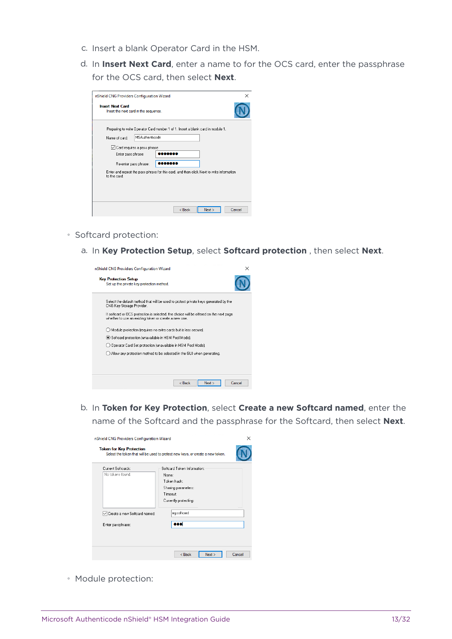- c. Insert a blank Operator Card in the HSM.
- d. In **Insert Next Card**, enter a name to for the OCS card, enter the passphrase for the OCS card, then select **Next**.

| nShield CNG Providers Configuration Wizard                       | ×                                                                                        |
|------------------------------------------------------------------|------------------------------------------------------------------------------------------|
| <b>Insert Next Card</b><br>Insert the next card in the sequence. |                                                                                          |
| <b>MSAuthenticode</b><br>Name of card:                           | Preparing to write Operator Card number 1 of 1. Insert a blank card in module 1.         |
| Card requires a pass phrase                                      |                                                                                          |
| Enter pass phrase:                                               | ,,,,,,                                                                                   |
| Re-enter pass phrase:                                            |                                                                                          |
| to the card.                                                     | Enter and repeat the pass phrase for this card, and then click Next to write information |
|                                                                  |                                                                                          |
|                                                                  |                                                                                          |
|                                                                  | < Back<br>Next<br>Cancel                                                                 |

- Softcard protection:
	- a. In **Key Protection Setup**, select **Softcard protection** , then select **Next**.

| nShield CNG Providers Configuration Wizard                                                                                                      | ×      |
|-------------------------------------------------------------------------------------------------------------------------------------------------|--------|
| <b>Key Protection Setup</b><br>Set up the private key-protection method.                                                                        |        |
| Select the default method that will be used to protect private keys generated by the<br>CNG Key Storage Provider.                               |        |
| If softcard or UCS protection is selected, the choice will be offered on the next page<br>whether to use an existing token or create a new one. |        |
| Module protection frequires no extra cards but is less secure).                                                                                 |        |
| Softcard protection (unavailable in HSM Pool Mode).                                                                                             |        |
| ◯ Operator Card Set protection (unavailable in HSM Pool Mode).                                                                                  |        |
| Allow any protection method to be selected in the GUI when generating.                                                                          |        |
|                                                                                                                                                 |        |
|                                                                                                                                                 |        |
| < Back<br>Next                                                                                                                                  | Cancel |

b. In **Token for Key Protection**, select **Create a new Softcard named**, enter the name of the Softcard and the passphrase for the Softcard, then select **Next**.

| Current Softcards:             | Softcard Token Information: |
|--------------------------------|-----------------------------|
| No tokens found.               | Name:                       |
|                                | Token hash:                 |
|                                | Sharing parameters:         |
|                                | Timeout:                    |
|                                | Currently protecting:       |
| □ Create a new Softcard named: | mysoftcard                  |
| Enter passphrase:              |                             |

◦ Module protection: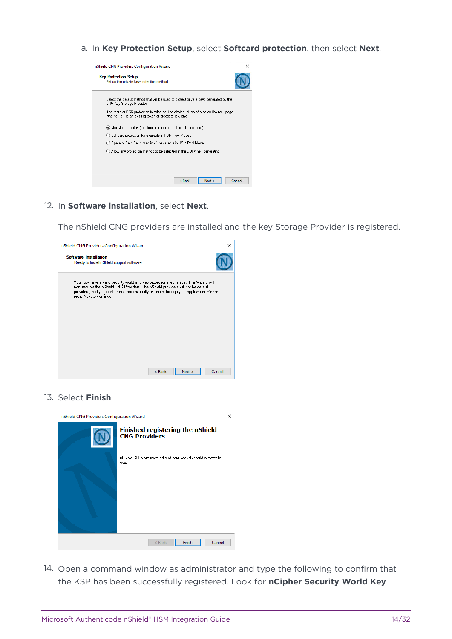a. In **Key Protection Setup**, select **Softcard protection**, then select **Next**.



12. In **Software installation**, select **Next**.

The nShield CNG providers are installed and the key Storage Provider is registered.



13. Select **Finish**.



14. Open a command window as administrator and type the following to confirm that the KSP has been successfully registered. Look for **nCipher Security World Key**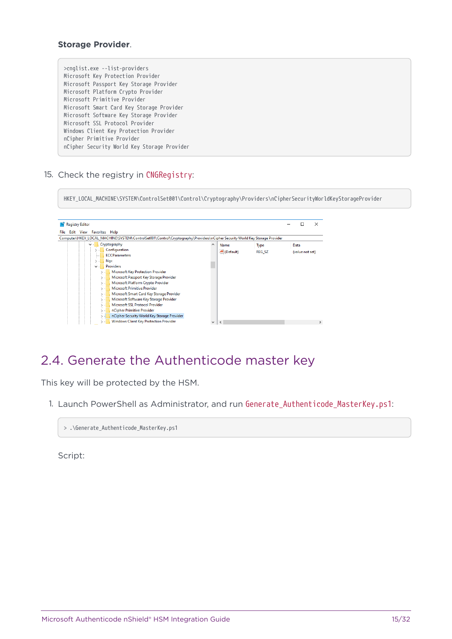#### **Storage Provider**.

| >cnglist.exe --list-providers               |
|---------------------------------------------|
| Microsoft Key Protection Provider           |
| Microsoft Passport Key Storage Provider     |
| Microsoft Platform Crypto Provider          |
| Microsoft Primitive Provider                |
| Microsoft Smart Card Key Storage Provider   |
| Microsoft Software Key Storage Provider     |
| Microsoft SSL Protocol Provider             |
| Windows Client Key Protection Provider      |
| nCipher Primitive Provider                  |
| nCipher Security World Key Storage Provider |
|                                             |

15. Check the registry in CNGRegistry:

HKEY\_LOCAL\_MACHINE\SYSTEM\ControlSet001\Control\Cryptography\Providers\nCipherSecurityWorldKeyStorageProvider



#### <span id="page-14-0"></span>2.4. Generate the Authenticode master key

This key will be protected by the HSM.

1. Launch PowerShell as Administrator, and run Generate\_Authenticode\_MasterKey.ps1:

> .\Generate\_Authenticode\_MasterKey.ps1

Script: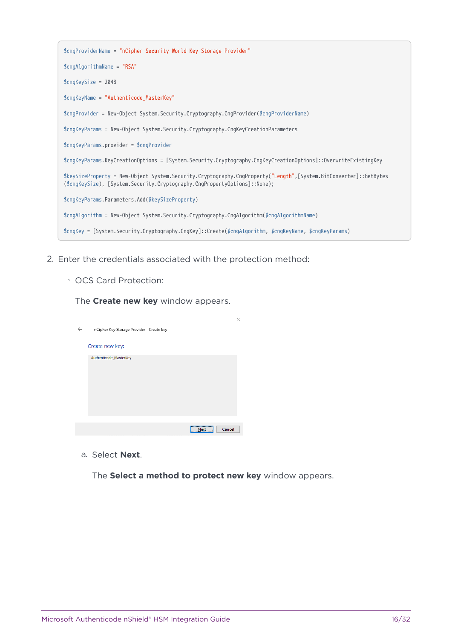| \$cngProviderName = "nCipher Security World Key Storage Provider"                                                                                                                             |
|-----------------------------------------------------------------------------------------------------------------------------------------------------------------------------------------------|
| $$cngAlqorithmName = "RSA"$                                                                                                                                                                   |
| $$cnqKeySize = 2048$                                                                                                                                                                          |
| $$cnqKeyName = "Authorticode_MasterKey"$                                                                                                                                                      |
| \$cngProvider = New-Object System.Security.Cryptography.CngProvider(\$cngProviderName)                                                                                                        |
| \$cngKeyParams = New-Object System.Security.Cryptography.CngKeyCreationParameters                                                                                                             |
| \$cngKeyParams.provider = \$cngProvider                                                                                                                                                       |
| \$cngKeyParams.KeyCreationOptions = [System.Security.Cryptography.CngKeyCreationOptions]::OverwriteExistingKey                                                                                |
| \$keySizeProperty = New-Object System.Security.Cryptography.CngProperty("Length",[System.BitConverter]::GetBytes<br>(\$cngKeySize), [System.Security.Cryptography.CngPropertyOptions]::None); |
| \$cngKeyParams.Parameters.Add(\$keySizeProperty)                                                                                                                                              |
| $$cmA1qorithm = New-Object System.Security.Cryptography.CngAlqorithm($cngAlqorithmName)$                                                                                                      |
| \$cngKey = [System.Security.Cryptography.CngKey]::Create(\$cngAlgorithm, \$cngKeyName, \$cngKeyParams)                                                                                        |

- 2. Enter the credentials associated with the protection method:
	- OCS Card Protection:

The **Create new key** window appears.

| nCipher Key Storage Provider - Create key | х |
|-------------------------------------------|---|
| Create new key:                           |   |
| Authenticode_MasterKey                    |   |
| Cancel<br>Next                            |   |

a. Select **Next**.

The **Select a method to protect new key** window appears.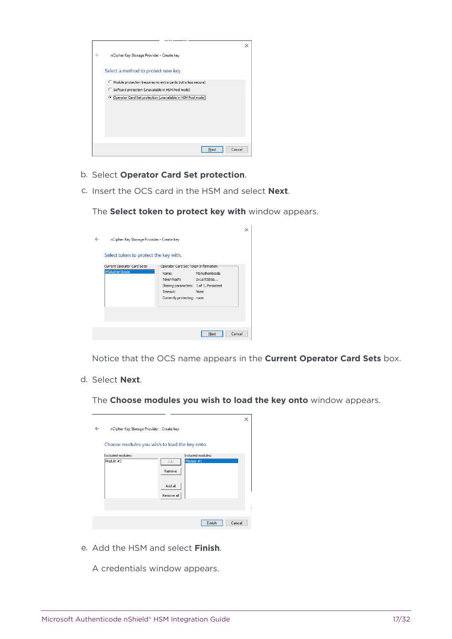

- b. Select **Operator Card Set protection**.
- c. Insert the OCS card in the HSM and select **Next**.

The **Select token to protect key with** window appears.

|                                           |                                        |                | X |  |  |
|-------------------------------------------|----------------------------------------|----------------|---|--|--|
| nCipher Key Storage Provider - Create key |                                        |                |   |  |  |
| Select token to protect the key with.     |                                        |                |   |  |  |
|                                           |                                        |                |   |  |  |
| Current Operator Card Sets:               | Operator Card Set Token Information:   |                |   |  |  |
| <b>MSAuthenticode</b>                     | Name:                                  | MSAuthenticode |   |  |  |
|                                           | Token hash: 0x1e7c555a                 |                |   |  |  |
|                                           | Sharing parameters: 1 of 1, Persistent |                |   |  |  |
|                                           | Timeout:                               | None           |   |  |  |
|                                           | Currently protecting: none             |                |   |  |  |
|                                           |                                        |                |   |  |  |
|                                           |                                        |                |   |  |  |
|                                           |                                        |                |   |  |  |
|                                           |                                        |                |   |  |  |
|                                           |                                        | Cancel<br>Next |   |  |  |
|                                           |                                        |                |   |  |  |

Notice that the OCS name appears in the **Current Operator Card Sets** box.

d. Select **Next**.

The **Choose modules you wish to load the key onto** window appears.

|                                                | × |  |  |  |
|------------------------------------------------|---|--|--|--|
| nCipher Key Storage Provider - Create key<br>← |   |  |  |  |
|                                                |   |  |  |  |
| Choose modules you wish to load the key onto.  |   |  |  |  |
| <b>Excluded modules:</b><br>Included modules:  |   |  |  |  |
| Module #1<br>Module #2<br>Add                  |   |  |  |  |
| Remove                                         |   |  |  |  |
|                                                |   |  |  |  |
| Add all                                        |   |  |  |  |
| Remove all                                     |   |  |  |  |
|                                                |   |  |  |  |
|                                                |   |  |  |  |
| Cancel<br>Finish                               |   |  |  |  |

e. Add the HSM and select **Finish**.

A credentials window appears.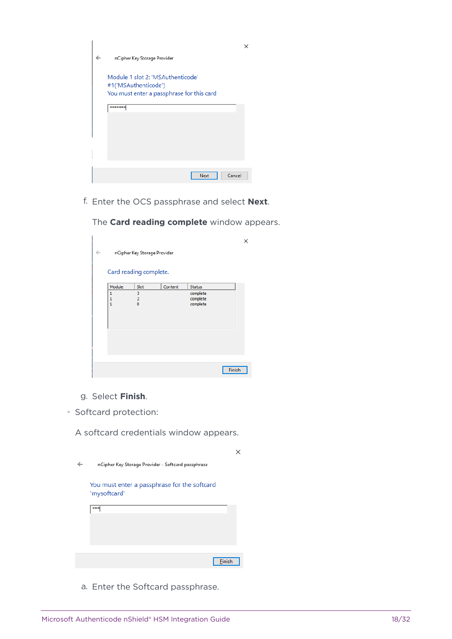|   |                                                           | × |
|---|-----------------------------------------------------------|---|
| ← | nCipher Key Storage Provider                              |   |
|   | Module 1 slot 2: 'MSAuthenticode'<br>#1('MSAuthenticode') |   |
|   | You must enter a passphrase for this card                 |   |
|   | *******                                                   |   |
|   |                                                           |   |
|   |                                                           |   |
|   |                                                           |   |
|   | Cancel<br>Next                                            |   |

f. Enter the OCS passphrase and select **Next**.

| $\leftarrow$ |                   | nCipher Key Storage Provider |         |                      |        |  |
|--------------|-------------------|------------------------------|---------|----------------------|--------|--|
|              |                   |                              |         |                      |        |  |
|              |                   | Card reading complete.       |         |                      |        |  |
|              | Module            | Slot                         | Content | Status               |        |  |
|              | 1<br>$\mathbf{1}$ | 3<br>$\overline{2}$          |         | complete<br>complete |        |  |
|              | $\mathbf{1}$      | $\mathbf 0$                  |         | complete             |        |  |
|              |                   |                              |         |                      |        |  |
|              |                   |                              |         |                      |        |  |
|              |                   |                              |         |                      |        |  |
|              |                   |                              |         |                      |        |  |
|              |                   |                              |         |                      |        |  |
|              |                   |                              |         |                      | Finish |  |

The **Card reading complete** window appears.

- g. Select **Finish**.
- Softcard protection:

A softcard credentials window appears.

| nCipher Key Storage Provider - Softcard passphrase           |  |
|--------------------------------------------------------------|--|
| You must enter a passphrase for the softcard<br>'mysoftcard' |  |
| ***                                                          |  |
|                                                              |  |
|                                                              |  |
| Finish                                                       |  |

a. Enter the Softcard passphrase.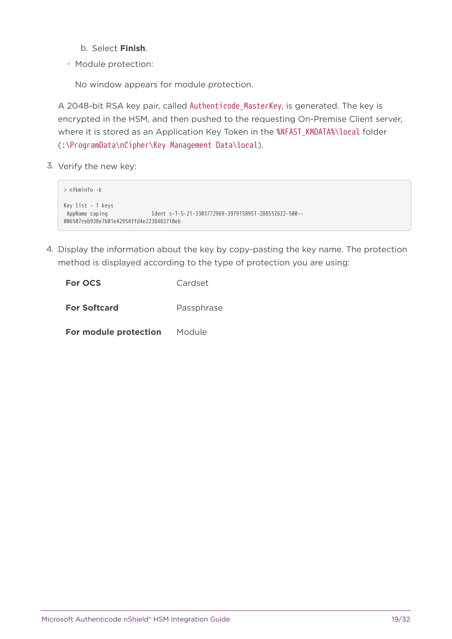- b. Select **Finish**.
- Module protection:

No window appears for module protection.

A 2048-bit RSA key pair, called Authenticode\_MasterKey, is generated. The key is encrypted in the HSM, and then pushed to the requesting On-Premise Client server, where it is stored as an Application Key Token in the %NFAST\_KMDATA%\local folder (:\ProgramData\nCipher\Key Management Data\local).

3. Verify the new key:

```
> nfkminfo -k
Key list - 1 keys
 AppName caping Ident s-1-5-21-3303772969-3979158951-288552622-500--
006507ceb938e7b01e42954ffd4e2238483710eb
```
4. Display the information about the key by copy-pasting the key name. The protection method is displayed according to the type of protection you are using:

| <b>For OCS</b>        | Cardset    |
|-----------------------|------------|
| <b>For Softcard</b>   | Passphrase |
| For module protection | Module     |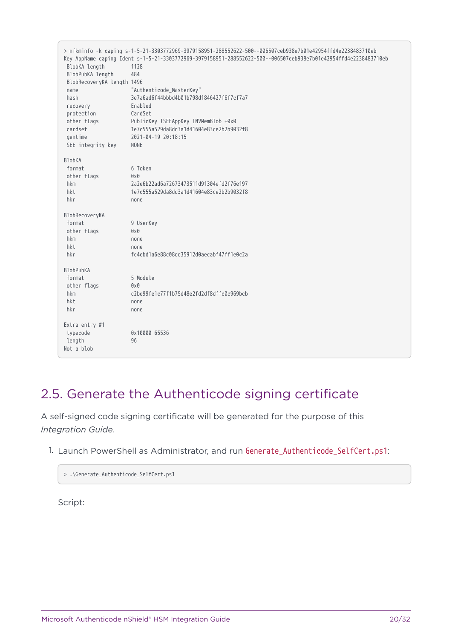> nfkminfo -k caping s-1-5-21-3303772969-3979158951-288552622-500--006507ceb938e7b01e42954ffd4e2238483710eb Key AppName caping Ident s-1-5-21-3303772969-3979158951-288552622-500--006507ceb938e7b01e42954ffd4e2238483710eb BlobKA length 1128 BlobPubKA length 484 BlobRecoveryKA length 1496 name "Authenticode\_MasterKey" hash 3e7a6ad6f44bbbd4b01b798d1846427f6f7cf7a7 recovery Enabled protection CardSet other flags PublicKey !SEEAppKey !NVMemBlob +0x0 cardset 1e7c555a529da8dd3a1d41604e83ce2b2b9032f8 gentime 2021-04-19 20:18:15 SEE integrity key NONE BlobKA format 6 Token other flags 0x0 hkm 2a2e6b22ad6a72673473511d91304efd2f76e197 hkt 1e7c555a529da8dd3a1d41604e83ce2b2b9032f8 hkr none BlobRecoveryKA format 9 UserKey other flags 0x0 hkm none hkt none hkr fc4cbd1a6e88c08dd35912d0aecabf47ff1e0c2a BlobPubKA format 5 Module other flags 0x0 hkm c2be99fe1c77f1b75d48e2fd2df8dffc0c969bcb hkt none hkr none Extra entry #1 typecode 0x10000 65536 length 96 Not a blob

#### <span id="page-19-0"></span>2.5. Generate the Authenticode signing certificate

A self-signed code signing certificate will be generated for the purpose of this *Integration Guide*.

1. Launch PowerShell as Administrator, and run Generate Authenticode SelfCert.ps1:

```
> .\Generate_Authenticode_SelfCert.ps1
```
Script: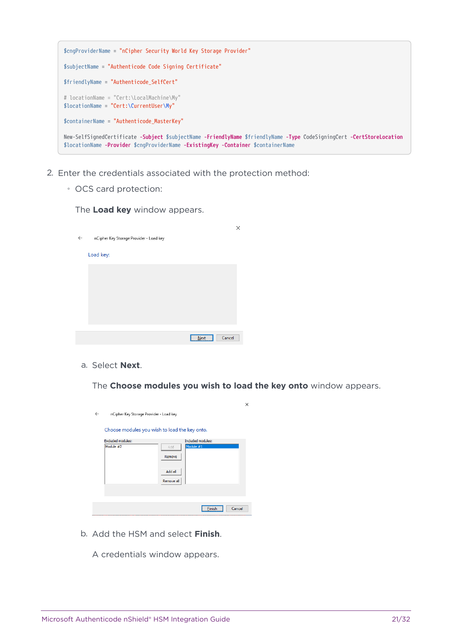

- 2. Enter the credentials associated with the protection method:
	- OCS card protection:

The **Load key** window appears.

|              |                                         |                   | × |
|--------------|-----------------------------------------|-------------------|---|
| $\leftarrow$ | nCipher Key Storage Provider - Load key |                   |   |
|              | Load key:                               |                   |   |
|              |                                         |                   |   |
|              |                                         |                   |   |
|              |                                         |                   |   |
|              |                                         |                   |   |
|              |                                         |                   |   |
|              |                                         | Cancel<br>$N$ ext |   |

a. Select **Next**.

The **Choose modules you wish to load the key onto** window appears.

|   |                                               |            |                   | $\times$ |
|---|-----------------------------------------------|------------|-------------------|----------|
| ← | nCipher Key Storage Provider - Load key       |            |                   |          |
|   | Choose modules you wish to load the key onto. |            |                   |          |
|   | <b>Excluded modules:</b>                      |            | Included modules: |          |
|   | Module #2                                     | Add        | Module #1         |          |
|   |                                               | Remove     |                   |          |
|   |                                               | Add all    |                   |          |
|   |                                               | Remove all |                   |          |
|   |                                               |            |                   |          |
|   |                                               |            |                   |          |
|   |                                               |            | Finish            | Cancel   |

b. Add the HSM and select **Finish**.

A credentials window appears.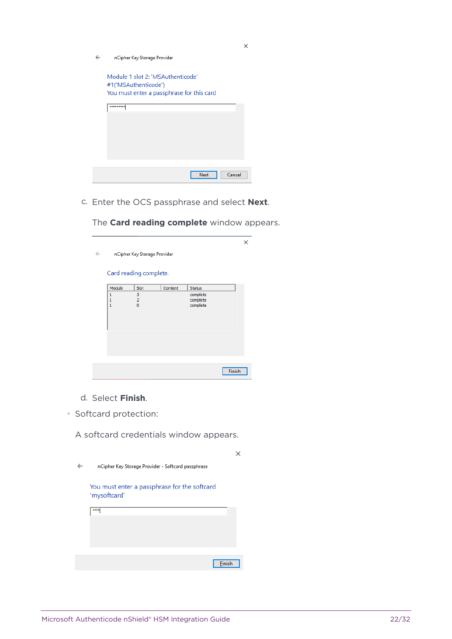$\leftarrow$ nCipher Key Storage Provider



c. Enter the OCS passphrase and select **Next**.

The **Card reading complete** window appears.

 $\times$ nCipher Key Storage Provider  $\leftarrow$ Card reading complete.  $|$  Slot Content Status Module complete  $\overline{\mathbf{3}}$  $\begin{array}{c} 1 \\ 1 \\ 1 \end{array}$ complete<br>complete  $\frac{2}{0}$ Finish

- d. Select **Finish**.
- Softcard protection:

A softcard credentials window appears.

| nCipher Key Storage Provider - Softcard passphrase           |  |
|--------------------------------------------------------------|--|
| You must enter a passphrase for the softcard<br>'mysoftcard' |  |
| ***                                                          |  |
|                                                              |  |
|                                                              |  |
|                                                              |  |
| Finish                                                       |  |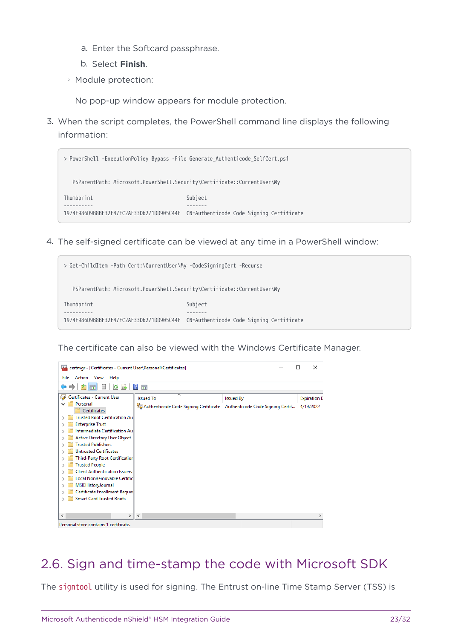- a. Enter the Softcard passphrase.
- b. Select **Finish**.
- Module protection:

No pop-up window appears for module protection.

3. When the script completes, the PowerShell command line displays the following information:



4. The self-signed certificate can be viewed at any time in a PowerShell window:

| > Get-ChildItem -Path Cert:\CurrentUser\My -CodeSigningCert -Recurse    |                                                                                   |
|-------------------------------------------------------------------------|-----------------------------------------------------------------------------------|
| PSParentPath: Microsoft.PowerShell.Security\Certificate::CurrentUser\My |                                                                                   |
| Thumbprint                                                              | Subject                                                                           |
|                                                                         |                                                                                   |
|                                                                         | 1974F986D9B8BF32F47FC2AF33D6271DD905C44F CN=Authenticode Code Signing Certificate |
|                                                                         |                                                                                   |

The certificate can also be viewed with the Windows Certificate Manager.

| 靏<br>certmgr - [Certificates - Current User\Personal\Certificates]                                                                                                                                                                                                                                                                                                                                                                                                |                                                                                            |                  | ×                                |
|-------------------------------------------------------------------------------------------------------------------------------------------------------------------------------------------------------------------------------------------------------------------------------------------------------------------------------------------------------------------------------------------------------------------------------------------------------------------|--------------------------------------------------------------------------------------------|------------------|----------------------------------|
| File Action View<br>Help                                                                                                                                                                                                                                                                                                                                                                                                                                          |                                                                                            |                  |                                  |
|                                                                                                                                                                                                                                                                                                                                                                                                                                                                   | 雨                                                                                          |                  |                                  |
| Certificates - Current User<br>Personal<br>Certificates<br><b>Trusted Root Certification Au</b><br><b>Enterprise Trust</b><br>Intermediate Certification Aul<br><b>Active Directory User Object</b><br><b>Trusted Publishers</b><br><b>Untrusted Certificates</b><br><b>Third-Party Root Certificatior</b><br><b>Trusted People</b><br><b>Client Authentication Issuers</b><br>Local NonRemovable Certific<br>MSIEHistoryJournal<br>Certificate Enrollment Reque: | <b>Issued To</b><br>Authenticode Code Signing Certificate Authenticode Code Signing Certif | <b>Issued By</b> | <b>Expiration D</b><br>4/19/2022 |
| <b>Smart Card Trusted Roots</b>                                                                                                                                                                                                                                                                                                                                                                                                                                   |                                                                                            |                  |                                  |
| ⋗<br>≺<br>Personal store contains 1 certificate.                                                                                                                                                                                                                                                                                                                                                                                                                  | $\overline{\phantom{a}}$                                                                   |                  | $\rightarrow$                    |

#### <span id="page-22-0"></span>2.6. Sign and time-stamp the code with Microsoft SDK

The signtool utility is used for signing. The Entrust on-line Time Stamp Server (TSS) is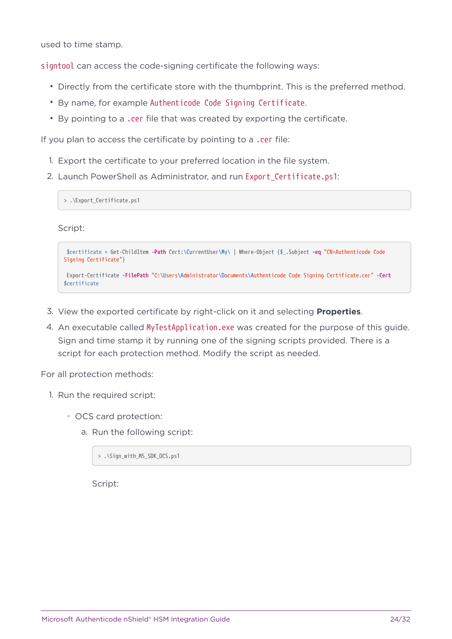used to time stamp.

signtool can access the code-signing certificate the following ways:

- Directly from the certificate store with the thumbprint. This is the preferred method.
- By name, for example Authenticode Code Signing Certificate.
- By pointing to a .cer file that was created by exporting the certificate.

If you plan to access the certificate by pointing to a .cer file:

- 1. Export the certificate to your preferred location in the file system.
- 2. Launch PowerShell as Administrator, and run Export\_Certificate.ps1:

> .\Export Certificate.ps1

Script:

\$certificate = Get-ChildItem **-Path** Cert:\CurrentUser\My\ | Where-Object {\$\_.Subject **-eq** "CN=Authenticode Code Signing Certificate"}

```
 Export-Certificate -FilePath "C:\Users\Administrator\Documents\Authenticode Code Signing Certificate.cer" -Cert
$certificate
```
- 3. View the exported certificate by right-click on it and selecting **Properties**.
- 4. An executable called MyTestApplication.exe was created for the purpose of this guide. Sign and time stamp it by running one of the signing scripts provided. There is a script for each protection method. Modify the script as needed.

For all protection methods:

- 1. Run the required script:
	- OCS card protection:
		- a. Run the following script:

> .\Sign\_with\_MS\_SDK\_OCS.ps1

Script: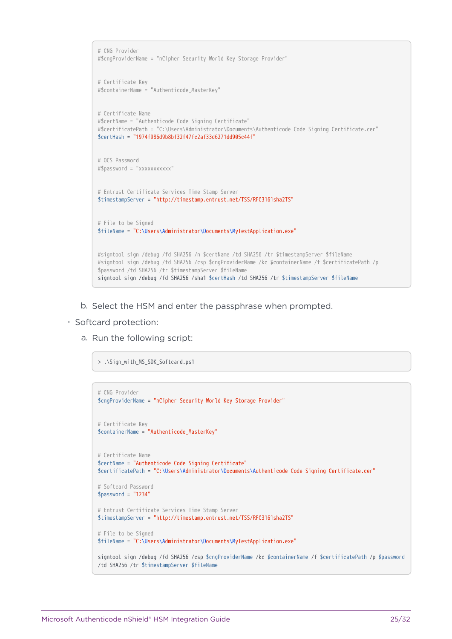```
# CNG Provider
#$cngProviderName = "nCipher Security World Key Storage Provider"
# Certificate Key
#$containerName = "Authenticode_MasterKey"
# Certificate Name
#$certName = "Authenticode Code Signing Certificate"
#$certificatePath = "C:\Users\Administrator\Documents\Authenticode Code Signing Certificate.cer"
$certHash = "1974f986d9b8bf32f47fc2af33d6271dd905c44f"
# OCS Password
#$password = "xxxxxxxxxxx"
# Entrust Certificate Services Time Stamp Server
$timestampServer = "http://timestamp.entrust.net/TSS/RFC3161sha2TS"
# File to be Signed
$fileName = "C:\Users\Administrator\Documents\MyTestApplication.exe"
#signtool sign /debug /fd SHA256 /n $certName /td SHA256 /tr $timestampServer $fileName
#signtool sign /debug /fd SHA256 /csp $cngProviderName /kc $containerName /f $certificatePath /p
$password /td SHA256 /tr $timestampServer $fileName
signtool sign /debug /fd SHA256 /sha1 $certHash /td SHA256 /tr $timestampServer $fileName
```
b. Select the HSM and enter the passphrase when prompted.

◦ Softcard protection:

a. Run the following script:

> .\Sign\_with\_MS\_SDK\_Softcard.ps1

```
# CNG Provider
$cngProviderName = "nCipher Security World Key Storage Provider"
# Certificate Key
$containerName = "Authenticode_MasterKey"
# Certificate Name
$certName = "Authenticode Code Signing Certificate"
$certificatePath = "C:\Users\Administrator\Documents\Authenticode Code Signing Certificate.cer"
# Softcard Password
$password = "1234"# Entrust Certificate Services Time Stamp Server
$timestampServer = "http://timestamp.entrust.net/TSS/RFC3161sha2TS"
# File to be Signed
$fileName = "C:\Users\Administrator\Documents\MyTestApplication.exe"
signtool sign /debug /fd SHA256 /csp $cngProviderName /kc $containerName /f $certificatePath /p $password
/td SHA256 /tr $timestampServer $fileName
```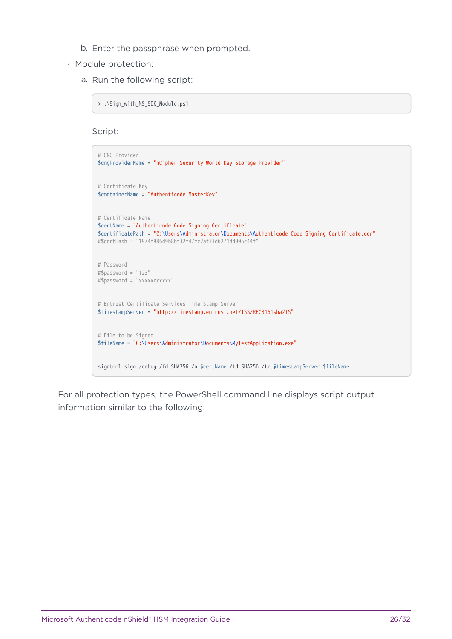- b. Enter the passphrase when prompted.
- Module protection:
	- a. Run the following script:

> .\Sign\_with\_MS\_SDK\_Module.ps1

Script:

```
# CNG Provider
$cngProviderName = "nCipher Security World Key Storage Provider"
# Certificate Key
$containerName = "Authenticode_MasterKey"
# Certificate Name
$certName = "Authenticode Code Signing Certificate"
$certificatePath = "C:\Users\Administrator\Documents\Authenticode Code Signing Certificate.cer"
#$certHash = "1974f986d9b8bf32f47fc2af33d6271dd905c44f"
# Password
#$password = "123"
#$password = "xxxxxxxxxxx"
# Entrust Certificate Services Time Stamp Server
$timestampServer = "http://timestamp.entrust.net/TSS/RFC3161sha2TS"
# File to be Signed
$fileName = "C:\Users\Administrator\Documents\MyTestApplication.exe"
signtool sign /debug /fd SHA256 /n $certName /td SHA256 /tr $timestampServer $fileName
```
For all protection types, the PowerShell command line displays script output information similar to the following: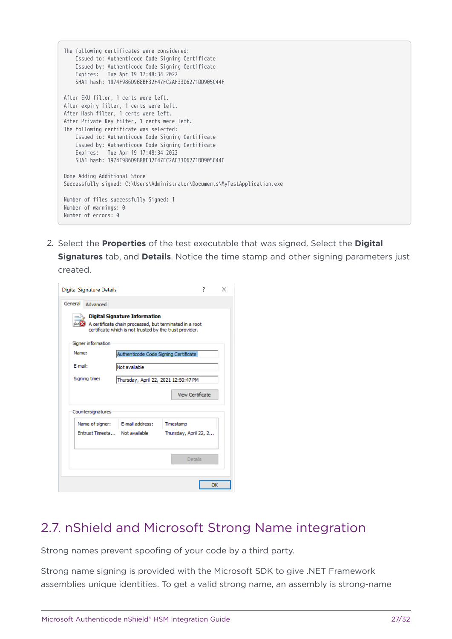| The following certificates were considered:<br>Issued to: Authenticode Code Signing Certificate<br>Issued by: Authenticode Code Signing Certificate<br>Expires: Tue Apr 19 17:48:34 2022<br>SHA1 hash: 1974F986D9B8BF32F47FC2AF33D6271DD905C44F |
|-------------------------------------------------------------------------------------------------------------------------------------------------------------------------------------------------------------------------------------------------|
| After EKU filter, 1 certs were left.                                                                                                                                                                                                            |
| After expiry filter, 1 certs were left.                                                                                                                                                                                                         |
| After Hash filter, 1 certs were left.                                                                                                                                                                                                           |
| After Private Key filter, 1 certs were left.                                                                                                                                                                                                    |
| The following certificate was selected:                                                                                                                                                                                                         |
| Issued to: Authenticode Code Signing Certificate                                                                                                                                                                                                |
| Issued by: Authenticode Code Signing Certificate                                                                                                                                                                                                |
| Expires: Tue Apr 19 17:48:34 2022                                                                                                                                                                                                               |
| SHA1 hash: 1974F986D9B8BF32F47FC2AF33D6271DD905C44F                                                                                                                                                                                             |
| Done Adding Additional Store<br>Successfully signed: C:\Users\Administrator\Documents\MyTestApplication.exe                                                                                                                                     |
| Number of files successfully Signed: 1<br>Number of warnings: 0<br>Number of errors: 0                                                                                                                                                          |

2. Select the **Properties** of the test executable that was signed. Select the **Digital Signatures** tab, and **Details**. Notice the time stamp and other signing parameters just created.

| <b>Digital Signature Details</b> |                                                                                                                                                            |           | 7                       |  |
|----------------------------------|------------------------------------------------------------------------------------------------------------------------------------------------------------|-----------|-------------------------|--|
| General<br>Advanced              |                                                                                                                                                            |           |                         |  |
|                                  | <b>Digital Signature Information</b><br>A certificate chain processed, but terminated in a root<br>certificate which is not trusted by the trust provider. |           |                         |  |
| Signer information               |                                                                                                                                                            |           |                         |  |
| Name:                            | Authenticode Code Signing Certificate                                                                                                                      |           |                         |  |
| E-mail:                          | Not available                                                                                                                                              |           |                         |  |
| Signing time:                    | Thursday, April 22, 2021 12:50:47 PM                                                                                                                       |           |                         |  |
|                                  |                                                                                                                                                            |           |                         |  |
|                                  |                                                                                                                                                            |           | <b>View Certificate</b> |  |
| Countersignatures                |                                                                                                                                                            |           |                         |  |
| Name of signer:                  | E-mail address:                                                                                                                                            | Timestamp |                         |  |
| Entrust Timesta Not available    |                                                                                                                                                            |           | Thursday, April 22, 2   |  |
|                                  |                                                                                                                                                            |           |                         |  |
|                                  |                                                                                                                                                            |           | <b>Details</b>          |  |
|                                  |                                                                                                                                                            |           |                         |  |

## <span id="page-26-0"></span>2.7. nShield and Microsoft Strong Name integration

Strong names prevent spoofing of your code by a third party.

Strong name signing is provided with the Microsoft SDK to give .NET Framework assemblies unique identities. To get a valid strong name, an assembly is strong-name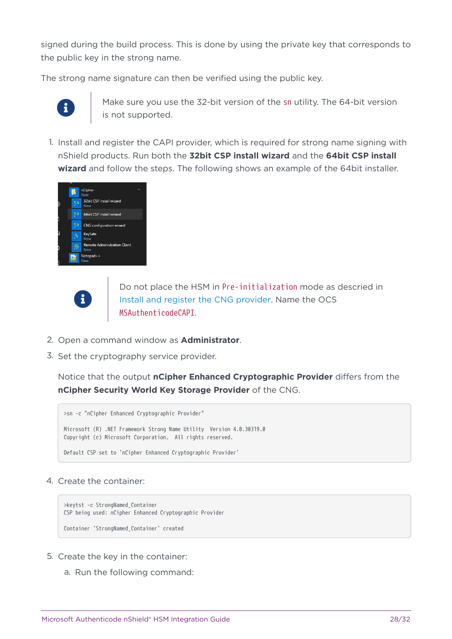signed during the build process. This is done by using the private key that corresponds to the public key in the strong name.

The strong name signature can then be verified using the public key.



Make sure you use the 32-bit version of the sn utility. The 64-bit version is not supported.

1. Install and register the CAPI provider, which is required for strong name signing with nShield products. Run both the **32bit CSP install wizard** and the **64bit CSP install wizard** and follow the steps. The following shows an example of the 64bit installer.



8

Do not place the HSM in Pre-initialization mode as descried in [Install and register the CNG provider.](#page-7-0) Name the OCS MSAuthenticodeCAPI.

- 2. Open a command window as **Administrator**.
- 3. Set the cryptography service provider.

Notice that the output **nCipher Enhanced Cryptographic Provider** differs from the **nCipher Security World Key Storage Provider** of the CNG.

```
>sn -c "nCipher Enhanced Cryptographic Provider"
Microsoft (R) .NET Framework Strong Name Utility Version 4.0.30319.0
Copyright (c) Microsoft Corporation. All rights reserved.
Default CSP set to 'nCipher Enhanced Cryptographic Provider'
```
4. Create the container:

```
>keytst -c StrongNamed_Container
CSP being used: nCipher Enhanced Cryptographic Provider
Container 'StrongNamed_Container' created
```
- 5. Create the key in the container:
	- a. Run the following command: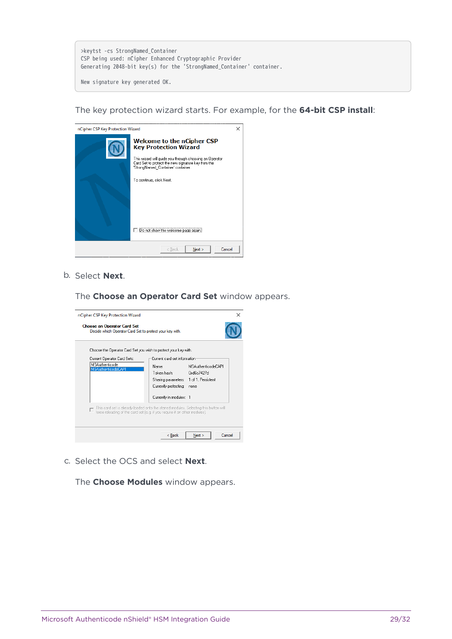| >keytst -cs StrongNamed Container                                     |  |
|-----------------------------------------------------------------------|--|
| CSP being used: nCipher Enhanced Cryptographic Provider               |  |
| Generating 2048-bit key(s) for the 'StrongNamed Container' container. |  |
|                                                                       |  |

New signature key generated OK.

The key protection wizard starts. For example, for the **64-bit CSP install**:

| nCipher CSP Key Protection Wizard |                                                                                                                                                                                                                                                                                              | $\times$ |
|-----------------------------------|----------------------------------------------------------------------------------------------------------------------------------------------------------------------------------------------------------------------------------------------------------------------------------------------|----------|
|                                   | <b>Welcome to the nCipher CSP</b><br><b>Key Protection Wizard</b><br>This wizard will guide you through choosing an Operator<br>Card Set to protect the new signature key from the<br>'StrongNamed Container' container.<br>To continue, click Next.<br>Do not show this welcome page again. |          |
|                                   | Next<br>Cancel<br>< Back                                                                                                                                                                                                                                                                     |          |

b. Select **Next**.

The **Choose an Operator Card Set** window appears.

| nCipher CSP Key Protection Wizard                                                              |                                                                                                                                                                                        | ×      |
|------------------------------------------------------------------------------------------------|----------------------------------------------------------------------------------------------------------------------------------------------------------------------------------------|--------|
| <b>Choose an Operator Card Set</b><br>Decide which Operator Card Set to protect your key with. |                                                                                                                                                                                        |        |
| Choose the Operator Card Set you wish to protect your key with.                                |                                                                                                                                                                                        |        |
| Current Operator Card Sets:                                                                    | Current card set information                                                                                                                                                           |        |
| MSAuthenticode<br><b>MSAuthenticodeCAPI</b>                                                    | <b>MSAuthenticodeCAPI</b><br>Name:<br>Token hash:<br>fixd6c7427d<br>Sharing parameters: 1 of 1, Persistent<br>Currently protecting:<br>none                                            |        |
|                                                                                                | Currently in modules: 1                                                                                                                                                                |        |
|                                                                                                | This card set is already loaded onto the starred modules. Selecting this button will<br>force reloading of the card set (e.g. if you require it on other modules).<br>Next<br>$<$ Back | Cancel |

c. Select the OCS and select **Next**.

The **Choose Modules** window appears.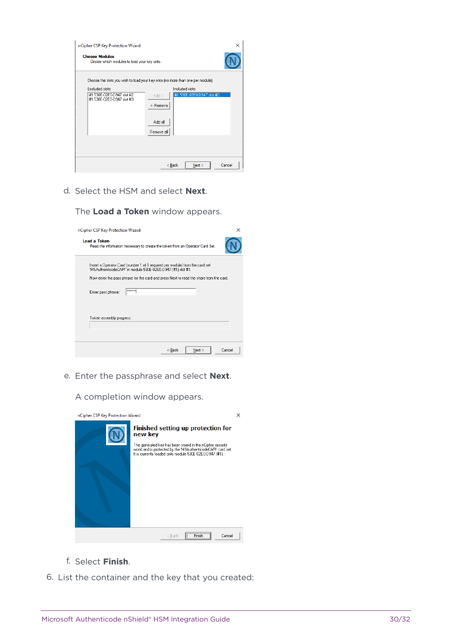| nCipher CSP Key Protection Wizard                                    |                                                                                     |        |
|----------------------------------------------------------------------|-------------------------------------------------------------------------------------|--------|
| <b>Choose Modules</b><br>Decide which modules to load your key onto. |                                                                                     |        |
|                                                                      | Choose the slots you wish to load your key onto (no more than one per module).      |        |
| Excluded slots:                                                      | Included slots:                                                                     |        |
| #1 530E-02E0-D947 slot #2<br>#1 530E-02E0-D947 slot #3               | #1 530E-02E0-D947 slot #0<br>$Add \rightarrow$<br><-Remove<br>Add all<br>Remove all |        |
|                                                                      | Next ><br>$Back$                                                                    | Cancel |

d. Select the HSM and select **Next**.

The **Load a Token** window appears.

| nCipher CSP Key Protection Wizard                                                                                                                                                                                                     | ×      |
|---------------------------------------------------------------------------------------------------------------------------------------------------------------------------------------------------------------------------------------|--------|
| Load a Token<br>Read the information necessary to create the token from an Operator Card Set.                                                                                                                                         |        |
| Insert a Operator Card (number 1 of 1 required per module) from the card set<br>"MSAuthenticodeCAPI" in module 530E-02E0-D947 (#1) slot #1.<br>Now enter the pass phrase for the card and press Next to read the share from the card. |        |
| <b>REXXXXX</b><br>Enter pass phrase:                                                                                                                                                                                                  |        |
| Token assembly progress:                                                                                                                                                                                                              |        |
|                                                                                                                                                                                                                                       |        |
| < Back<br>Next                                                                                                                                                                                                                        | Cancel |

e. Enter the passphrase and select **Next**.

A completion window appears.

| nCipher CSP Key Protection Wizard |                                                                                                                                                                                                                                              |  |
|-----------------------------------|----------------------------------------------------------------------------------------------------------------------------------------------------------------------------------------------------------------------------------------------|--|
|                                   | <b>Finished setting up protection for</b><br>new key<br>The generated key has been stored in the nCipher security<br>world and is protected by the 'MSAuthenticodeCAPI' card set.<br>It is currently loaded onto module 530E-02E0-D947 (#1). |  |
|                                   | <b>Finish</b><br>Cancel<br>< Back                                                                                                                                                                                                            |  |

- f. Select **Finish**.
- 6. List the container and the key that you created: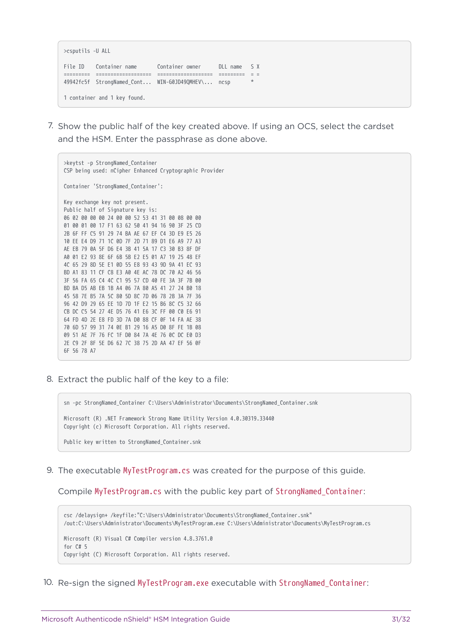>csputils -U ALL File ID Container name Container owner DLL name S X ========= =================== =================== ========= = = 49942fc5f StrongNamed\_Cont... WIN-G0JD49QMHEV\... ncsp \* 1 container and 1 key found.

7. Show the public half of the key created above. If using an OCS, select the cardset and the HSM. Enter the passphrase as done above.

>keytst -p StrongNamed\_Container CSP being used: nCipher Enhanced Cryptographic Provider Container 'StrongNamed\_Container': Key exchange key not present. Public half of Signature key is: 06 02 00 00 00 24 00 00 52 53 41 31 00 08 00 00 01 00 01 00 17 F1 63 62 50 41 94 16 90 3F 25 CD 2B 6F FF C5 91 29 74 BA AE 67 EF C4 3D E9 E5 26 10 EE E4 D9 71 1C 0D 7F 2D 71 89 D1 E6 A9 77 A3 AE EB 79 0A 5F D6 E4 3B 41 5A 17 C3 30 B3 8F DF A0 01 E2 93 8E 6F 6B 5B E2 E5 01 A7 19 25 48 EF 4C 65 29 8D 5E E1 0D 55 E8 93 43 9D 9A 41 EC 93 BD A1 83 11 CF C8 E3 A0 4E AC 78 DC 70 A2 46 56 3F 56 FA 65 C4 4C C1 95 57 CD 40 FE 3A 3F 7B 00 BD BA D5 AB EB 1B A4 06 7A 80 A5 41 27 24 B0 18 45 58 7E B5 7A 5C 80 5D 8C 7D 06 78 2B 3A 7F 36 96 42 D9 29 65 EE 1D 7D 1F E2 15 B6 8C C5 32 66 CB DC C5 54 27 4E D5 76 41 E6 3C FF 00 C0 E6 91 64 FD 4D 2E E8 FD 3D 7A D0 88 CF 0F 14 FA AE 38 70 6D 57 99 31 74 0E B1 29 16 A5 D0 8F FE 1B 08 09 51 AE 7F 76 FC 1F D0 84 7A 4E 76 0C DC E0 D3 2E C9 2F 8F 5E D6 62 7C 38 75 2D AA 47 EF 56 0F 6F 56 78 A7

8. Extract the public half of the key to a file:

sn -pc StrongNamed\_Container C:\Users\Administrator\Documents\StrongNamed\_Container.snk Microsoft (R) .NET Framework Strong Name Utility Version 4.0.30319.33440 Copyright (c) Microsoft Corporation. All rights reserved.

Public key written to StrongNamed\_Container.snk

9. The executable MyTestProgram.cs was created for the purpose of this guide.

Compile MyTestProgram.cs with the public key part of StrongNamed\_Container:

csc /delaysign+ /keyfile:"C:\Users\Administrator\Documents\StrongNamed\_Container.snk" /out:C:\Users\Administrator\Documents\MyTestProgram.exe C:\Users\Administrator\Documents\MyTestProgram.cs Microsoft (R) Visual C# Compiler version 4.8.3761.0 for C# 5 Copyright (C) Microsoft Corporation. All rights reserved.

10. Re-sign the signed MyTestProgram.exe executable with StrongNamed\_Container: